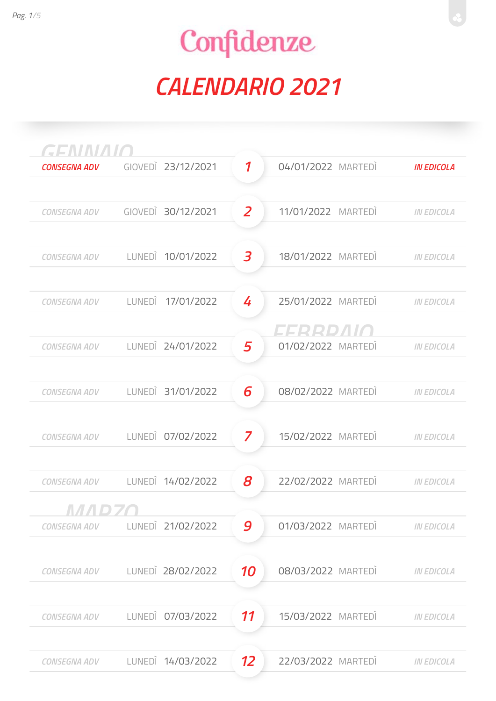| GENMAIO             |                    |                            |                    |                   |
|---------------------|--------------------|----------------------------|--------------------|-------------------|
| <b>CONSEGNA ADV</b> | GIOVEDI 23/12/2021 | $\boldsymbol{\mathcal{I}}$ | 04/01/2022 MARTEDI | <b>IN EDICOLA</b> |
|                     |                    |                            |                    |                   |
| <b>CONSEGNA ADV</b> | GIOVEDI 30/12/2021 | $\overline{z}$             | 11/01/2022 MARTEDI | <b>IN EDICOLA</b> |
|                     |                    |                            |                    |                   |
| <b>CONSEGNA ADV</b> | LUNEDI 10/01/2022  | 3                          | 18/01/2022 MARTEDI | <b>IN EDICOLA</b> |
|                     |                    |                            |                    |                   |
| <b>CONSEGNA ADV</b> | LUNEDI 17/01/2022  | 4                          | 25/01/2022 MARTEDI | <b>IN EDICOLA</b> |
|                     |                    |                            | T T P P D / 1 / A  |                   |
| <b>CONSEGNA ADV</b> | LUNEDI 24/01/2022  | 5                          | 01/02/2022 MARTEDI | <b>IN EDICOLA</b> |
|                     |                    |                            |                    |                   |
| <b>CONSEGNA ADV</b> | LUNEDI 31/01/2022  | 6                          | 08/02/2022 MARTEDI | <b>IN EDICOLA</b> |
|                     |                    |                            |                    |                   |
| CONSEGNA ADV        | LUNEDI 07/02/2022  | $\overline{\mathbf{z}}$    | 15/02/2022 MARTEDI | <b>IN EDICOLA</b> |
|                     |                    |                            |                    |                   |
| <b>CONSEGNA ADV</b> | LUNEDI 14/02/2022  | 8                          | 22/02/2022 MARTEDI | <b>IN EDICOLA</b> |
|                     |                    |                            |                    |                   |
| <b>CONSEGNA ADV</b> | LUNEDI 21/02/2022  | 9                          | 01/03/2022 MARTEDI | <b>IN EDICOLA</b> |
|                     |                    |                            |                    |                   |
| CONSEGNA ADV        | LUNEDI 28/02/2022  | 10                         | 08/03/2022 MARTEDI | <b>IN EDICOLA</b> |
|                     |                    |                            |                    |                   |
| <b>CONSEGNA ADV</b> | LUNEDI 07/03/2022  | 11                         | 15/03/2022 MARTEDI | <b>IN EDICOLA</b> |
|                     |                    |                            |                    |                   |
| <b>CONSEGNA ADV</b> | LUNEDI 14/03/2022  | 12                         | 22/03/2022 MARTEDI | <b>IN EDICOLA</b> |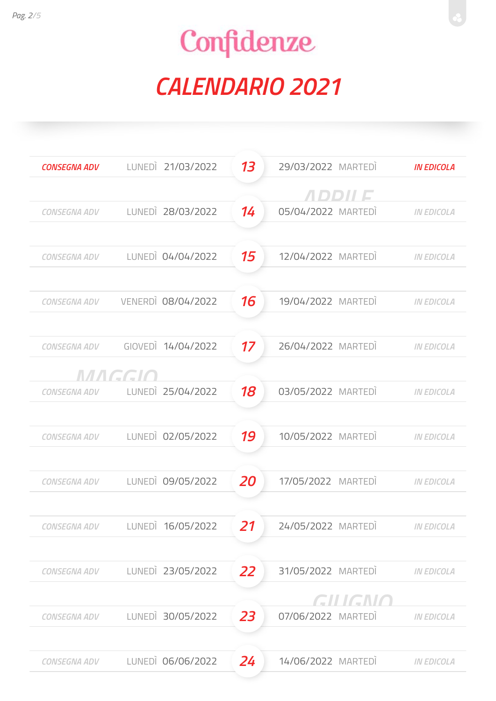| <b>CONSEGNA ADV</b> |        | LUNEDI 21/03/2022  | 13        | 29/03/2022 MARTEDI            | <b>IN EDICOLA</b> |
|---------------------|--------|--------------------|-----------|-------------------------------|-------------------|
|                     |        |                    |           | <i>ADDII E</i>                |                   |
| CONSEGNA ADV        |        | LUNEDI 28/03/2022  | 14        | 05/04/2022 MARTEDI            | <b>IN EDICOLA</b> |
|                     |        |                    |           |                               |                   |
| <b>CONSEGNA ADV</b> |        | LUNEDI 04/04/2022  | 15        | 12/04/2022 MARTEDI            | <b>IN EDICOLA</b> |
| <b>CONSEGNA ADV</b> |        | VENERDI 08/04/2022 | 16        | 19/04/2022 MARTEDI            | <b>IN EDICOLA</b> |
| CONSEGNA ADV        |        | GIOVEDI 14/04/2022 | 17        | 26/04/2022 MARTEDI            | <b>IN EDICOLA</b> |
|                     | MAGGIO |                    |           |                               |                   |
| CONSEGNA ADV        |        | LUNEDI 25/04/2022  | 18        | 03/05/2022 MARTEDI            | <b>IN EDICOLA</b> |
| <b>CONSEGNA ADV</b> |        | LUNEDI 02/05/2022  | 19        | 10/05/2022 MARTEDI            | <b>IN EDICOLA</b> |
| <b>CONSEGNA ADV</b> |        | LUNEDI 09/05/2022  | <b>20</b> | 17/05/2022 MARTEDI            | <b>IN EDICOLA</b> |
| CONSEGNA ADV        |        | LUNEDI 16/05/2022  | 21        | 24/05/2022 MARTEDI            | <b>IN EDICOLA</b> |
| <b>CONSEGNA ADV</b> |        | LUNEDI 23/05/2022  | 22        | 31/05/2022 MARTEDI            | <b>IN EDICOLA</b> |
| <b>CONSEGNA ADV</b> |        | LUNEDI 30/05/2022  | 23        | GILIGNO<br>07/06/2022 MARTEDI | <b>IN EDICOLA</b> |
| <b>CONSEGNA ADV</b> |        | LUNEDI 06/06/2022  | 24        | 14/06/2022 MARTEDI            | <b>IN EDICOLA</b> |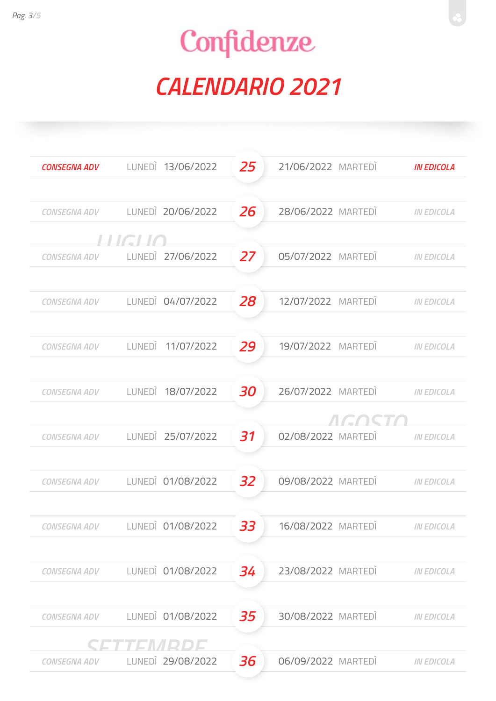| <b>CONSEGNA ADV</b> | LUNEDI 13/06/2022              | 25 | 21/06/2022 MARTEDI          | <b>IN EDICOLA</b> |
|---------------------|--------------------------------|----|-----------------------------|-------------------|
| CONSEGNA ADV        | LUNEDI 20/06/2022              | 26 | 28/06/2022 MARTEDI          | <b>IN EDICOLA</b> |
|                     | LUGIO                          |    |                             |                   |
| CONSEGNA ADV        | LUNEDI 27/06/2022              | 27 | 05/07/2022 MARTEDI          | <b>IN EDICOLA</b> |
| CONSEGNA ADV        | LUNEDI 04/07/2022              | 28 | 12/07/2022 MARTEDI          | <b>IN EDICOLA</b> |
| CONSEGNA ADV        | LUNEDI 11/07/2022              | 29 | 19/07/2022 MARTEDI          | <b>IN EDICOLA</b> |
| CONSEGNA ADV        | LUNEDI 18/07/2022              | 30 | 26/07/2022 MARTEDI          | <b>IN EDICOLA</b> |
| <b>CONSEGNA ADV</b> | LUNEDI 25/07/2022              | 31 | AGOST<br>02/08/2022 MARTEDI | <b>IN EDICOLA</b> |
|                     |                                |    |                             |                   |
| <b>CONSEGNA ADV</b> | LUNEDI 01/08/2022              | 32 | 09/08/2022 MARTEDI          | <b>IN EDICOLA</b> |
|                     | CONSEGNA ADV LUNEDI 01/08/2022 | 33 | 16/08/2022 MARTEDI          | <b>IN EDICOLA</b> |
| <b>CONSEGNA ADV</b> | LUNEDI 01/08/2022              | 34 | 23/08/2022 MARTEDI          | <b>IN EDICOLA</b> |
| <b>CONSEGNA ADV</b> | LUNEDI 01/08/2022              | 35 | 30/08/2022 MARTEDI          | <b>IN EDICOLA</b> |
|                     | SSO TENNIRIDIS                 |    |                             |                   |
| <b>CONSEGNA ADV</b> | LUNEDI 29/08/2022              | 36 | 06/09/2022 MARTEDI          | <b>IN EDICOLA</b> |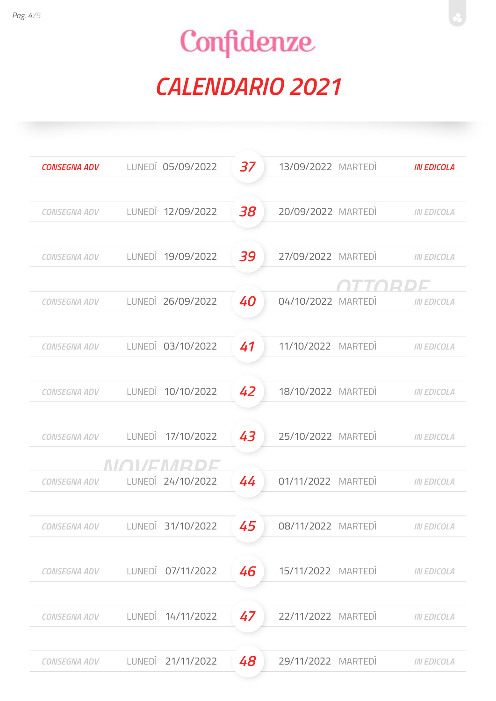| <b>CONSEGNA ADV</b> | LUNEDI 05/09/2022              | 37 | 13/09/2022 MARTEDI | <b>IN EDICOLA</b> |
|---------------------|--------------------------------|----|--------------------|-------------------|
|                     |                                |    |                    |                   |
| CONSEGNA ADV        | LUNEDI 12/09/2022              | 38 | 20/09/2022 MARTEDI | <b>IN EDICOLA</b> |
| CONSEGNA ADV        | LUNEDI 19/09/2022              | 39 | 27/09/2022 MARTEDI | <b>IN EDICOLA</b> |
|                     |                                |    |                    | דמכ               |
| CONSEGNA ADV        | LUNEDI 26/09/2022              | 40 | 04/10/2022 MARTEDI | <b>IN EDICOLA</b> |
|                     |                                |    |                    |                   |
| CONSEGNA ADV        | LUNEDI 03/10/2022              | 41 | 11/10/2022 MARTEDI | <b>IN EDICOLA</b> |
| CONSEGNA ADV        | LUNEDI 10/10/2022              | 42 | 18/10/2022 MARTEDI | <b>IN EDICOLA</b> |
|                     |                                |    |                    |                   |
| CONSEGNA ADV        | LUNEDI 17/10/2022              | 43 | 25/10/2022 MARTEDI | <b>IN EDICOLA</b> |
|                     | NIA MENIPIDE                   |    |                    |                   |
|                     | CONSEGNA ADV LUNEDI 24/10/2022 | 44 | 01/11/2022 MARTEDI | <b>IN EDICOLA</b> |
| CONSEGNA ADV        | LUNEDI 31/10/2022              | 45 | 08/11/2022 MARTEDI | <b>IN EDICOLA</b> |
|                     |                                |    |                    |                   |
| <b>CONSEGNA ADV</b> | LUNEDI 07/11/2022              | 46 | 15/11/2022 MARTEDI | <b>IN EDICOLA</b> |
|                     |                                |    |                    |                   |
| <b>CONSEGNA ADV</b> | LUNEDI 14/11/2022              | 47 | 22/11/2022 MARTEDI | <b>IN EDICOLA</b> |
| <b>CONSEGNA ADV</b> | LUNEDI 21/11/2022              | 48 | 29/11/2022 MARTEDI | <b>IN EDICOLA</b> |
|                     |                                |    |                    |                   |